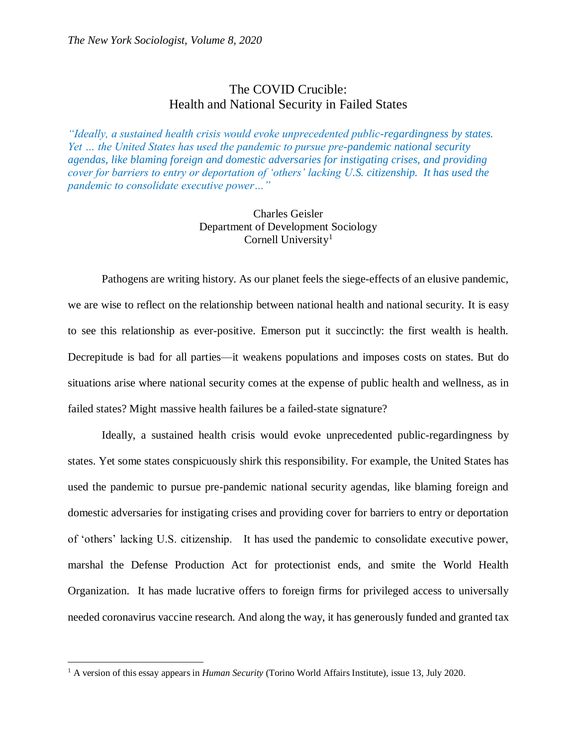## The COVID Crucible: Health and National Security in Failed States

*"Ideally, a sustained health crisis would evoke unprecedented public-regardingness by states. Yet … the United States has used the pandemic to pursue pre-pandemic national security agendas, like blaming foreign and domestic adversaries for instigating crises, and providing cover for barriers to entry or deportation of 'others' lacking U.S. citizenship. It has used the pandemic to consolidate executive power…"*

## Charles Geisler Department of Development Sociology Cornell University<sup>1</sup>

Pathogens are writing history. As our planet feels the siege-effects of an elusive pandemic, we are wise to reflect on the relationship between national health and national security. It is easy to see this relationship as ever-positive. Emerson put it succinctly: the first wealth is health. Decrepitude is bad for all parties—it weakens populations and imposes costs on states. But do situations arise where national security comes at the expense of public health and wellness, as in failed states? Might massive health failures be a failed-state signature?

Ideally, a sustained health crisis would evoke unprecedented public-regardingness by states. Yet some states conspicuously shirk this responsibility. For example, the United States has used the pandemic to pursue pre-pandemic national security agendas, like blaming foreign and domestic adversaries for instigating crises and providing cover for barriers to entry or deportation of 'others' lacking U.S. citizenship. It has used the pandemic to consolidate executive power, marshal the Defense Production Act for protectionist ends, and smite the World Health Organization. It has made lucrative offers to foreign firms for privileged access to universally needed coronavirus vaccine research. And along the way, it has generously funded and granted tax

 $\overline{a}$ 

<sup>&</sup>lt;sup>1</sup> A version of this essay appears in *Human Security* (Torino World Affairs Institute), issue 13, July 2020.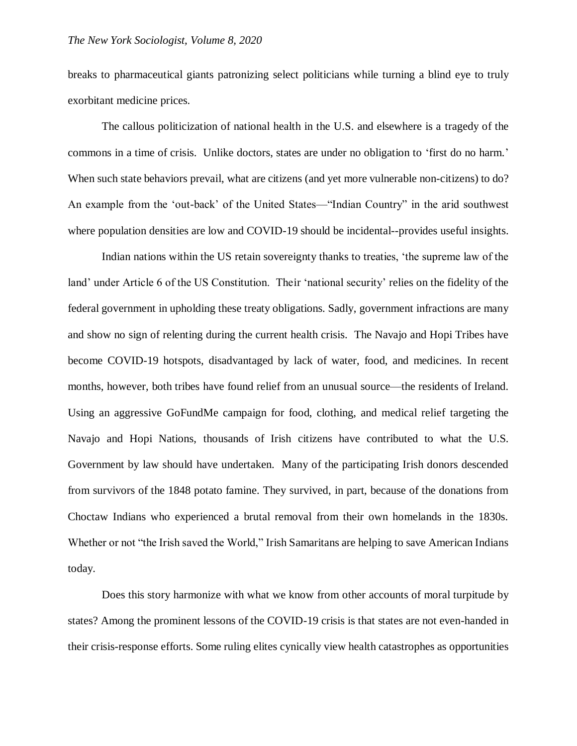breaks to pharmaceutical giants patronizing select politicians while turning a blind eye to truly exorbitant medicine prices.

The callous politicization of national health in the U.S. and elsewhere is a tragedy of the commons in a time of crisis. Unlike doctors, states are under no obligation to 'first do no harm.' When such state behaviors prevail, what are citizens (and yet more vulnerable non-citizens) to do? An example from the 'out-back' of the United States—"Indian Country" in the arid southwest where population densities are low and COVID-19 should be incidental--provides useful insights.

Indian nations within the US retain sovereignty thanks to treaties, 'the supreme law of the land' under Article 6 of the US Constitution. Their 'national security' relies on the fidelity of the federal government in upholding these treaty obligations. Sadly, government infractions are many and show no sign of relenting during the current health crisis. The Navajo and Hopi Tribes have become COVID-19 hotspots, disadvantaged by lack of water, food, and medicines. In recent months, however, both tribes have found relief from an unusual source—the residents of Ireland. Using an aggressive GoFundMe campaign for food, clothing, and medical relief targeting the Navajo and Hopi Nations, thousands of Irish citizens have contributed to what the U.S. Government by law should have undertaken. Many of the participating Irish donors descended from survivors of the 1848 potato famine. They survived, in part, because of the donations from Choctaw Indians who experienced a brutal removal from their own homelands in the 1830s. Whether or not "the Irish saved the World," Irish Samaritans are helping to save American Indians today.

Does this story harmonize with what we know from other accounts of moral turpitude by states? Among the prominent lessons of the COVID-19 crisis is that states are not even-handed in their crisis-response efforts. Some ruling elites cynically view health catastrophes as opportunities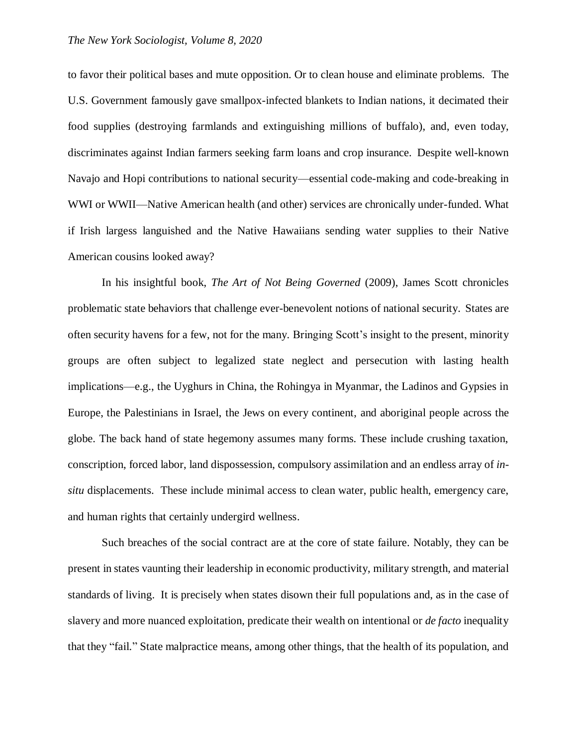to favor their political bases and mute opposition. Or to clean house and eliminate problems. The U.S. Government famously gave smallpox-infected blankets to Indian nations, it decimated their food supplies (destroying farmlands and extinguishing millions of buffalo), and, even today, discriminates against Indian farmers seeking farm loans and crop insurance. Despite well-known Navajo and Hopi contributions to national security—essential code-making and code-breaking in WWI or WWII—Native American health (and other) services are chronically under-funded. What if Irish largess languished and the Native Hawaiians sending water supplies to their Native American cousins looked away?

In his insightful book, *The Art of Not Being Governed* (2009), James Scott chronicles problematic state behaviors that challenge ever-benevolent notions of national security. States are often security havens for a few, not for the many. Bringing Scott's insight to the present, minority groups are often subject to legalized state neglect and persecution with lasting health implications—e.g., the Uyghurs in China, the Rohingya in Myanmar, the Ladinos and Gypsies in Europe, the Palestinians in Israel, the Jews on every continent, and aboriginal people across the globe. The back hand of state hegemony assumes many forms. These include crushing taxation, conscription, forced labor, land dispossession, compulsory assimilation and an endless array of *insitu* displacements. These include minimal access to clean water, public health, emergency care, and human rights that certainly undergird wellness.

Such breaches of the social contract are at the core of state failure. Notably, they can be present in states vaunting their leadership in economic productivity, military strength, and material standards of living. It is precisely when states disown their full populations and, as in the case of slavery and more nuanced exploitation, predicate their wealth on intentional or *de facto* inequality that they "fail." State malpractice means, among other things, that the health of its population, and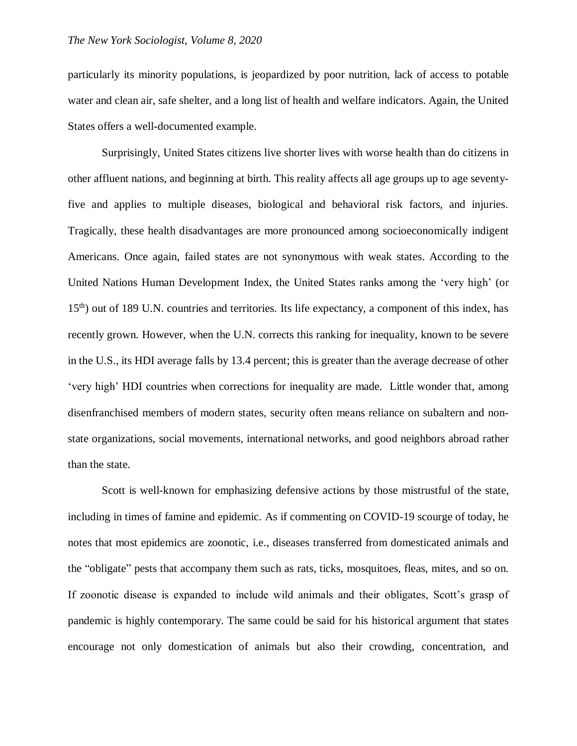particularly its minority populations, is jeopardized by poor nutrition, lack of access to potable water and clean air, safe shelter, and a long list of health and welfare indicators. Again, the United States offers a well-documented example.

Surprisingly, United States citizens live shorter lives with worse health than do citizens in other affluent nations, and beginning at birth. This reality affects all age groups up to age seventyfive and applies to multiple diseases, biological and behavioral risk factors, and injuries. Tragically, these health disadvantages are more pronounced among socioeconomically indigent Americans. Once again, failed states are not synonymous with weak states. According to the United Nations Human Development Index, the United States ranks among the 'very high' (or 15<sup>th</sup>) out of 189 U.N. countries and territories. Its life expectancy, a component of this index, has recently grown. However, when the U.N. corrects this ranking for inequality, known to be severe in the U.S., its HDI average falls by 13.4 percent; this is greater than the average decrease of other 'very high' HDI countries when corrections for inequality are made. Little wonder that, among disenfranchised members of modern states, security often means reliance on subaltern and nonstate organizations, social movements, international networks, and good neighbors abroad rather than the state.

Scott is well-known for emphasizing defensive actions by those mistrustful of the state, including in times of famine and epidemic. As if commenting on COVID-19 scourge of today, he notes that most epidemics are zoonotic, i.e., diseases transferred from domesticated animals and the "obligate" pests that accompany them such as rats, ticks, mosquitoes, fleas, mites, and so on. If zoonotic disease is expanded to include wild animals and their obligates, Scott's grasp of pandemic is highly contemporary. The same could be said for his historical argument that states encourage not only domestication of animals but also their crowding, concentration, and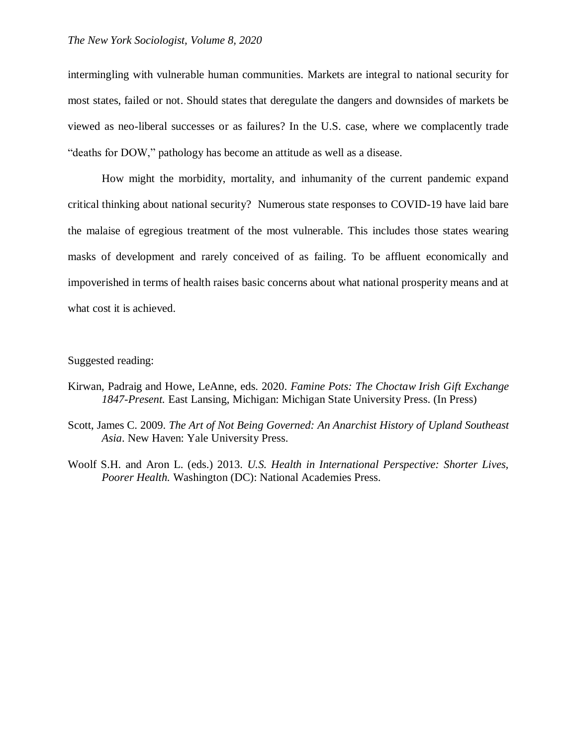intermingling with vulnerable human communities. Markets are integral to national security for most states, failed or not. Should states that deregulate the dangers and downsides of markets be viewed as neo-liberal successes or as failures? In the U.S. case, where we complacently trade "deaths for DOW," pathology has become an attitude as well as a disease.

How might the morbidity, mortality, and inhumanity of the current pandemic expand critical thinking about national security? Numerous state responses to COVID-19 have laid bare the malaise of egregious treatment of the most vulnerable. This includes those states wearing masks of development and rarely conceived of as failing. To be affluent economically and impoverished in terms of health raises basic concerns about what national prosperity means and at what cost it is achieved.

## Suggested reading:

- Kirwan, Padraig and Howe, LeAnne, eds. 2020. *Famine Pots: The Choctaw Irish Gift Exchange 1847-Present.* East Lansing, Michigan: Michigan State University Press. (In Press)
- Scott, James C. 2009. *[The Art of Not Being Governed: An Anarchist History of Upland Southeast](https://yalebooks.yale.edu/book/9780300152289/art-not-being-governed)  [Asia](https://yalebooks.yale.edu/book/9780300152289/art-not-being-governed)*. New Haven: Yale University Press.
- Woolf S.H. and Aron L. (eds.) 2013. *U.S. Health in International Perspective: Shorter Lives, Poorer Health.* Washington (DC): National Academies Press.